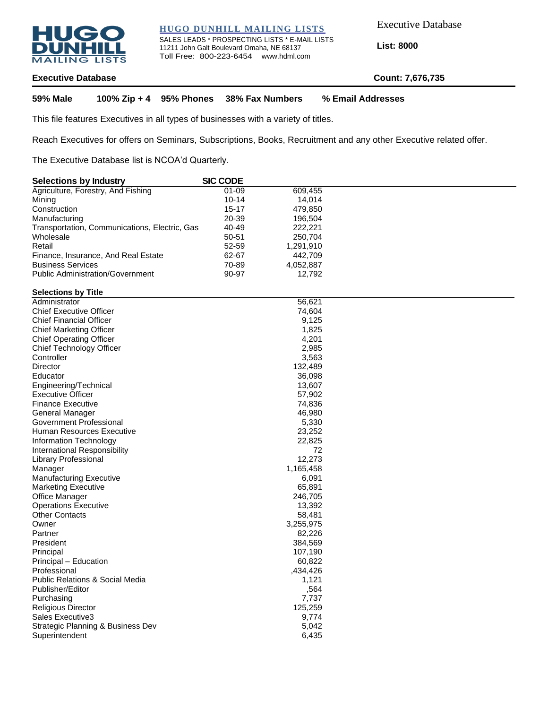

**HUGO DUNHILL MAILING LISTS**

SALES LEADS \* PROSPECTING LISTS \* E-MAIL LISTS 11211 John Galt Boulevard Omaha, NE 68137 Toll Free: 800-223-6454 www.hdml.com

Executive Database

**List: 8000**

# **Executive Database Count: 7,676,735**

**59% Male 100% Zip + 4 95% Phones 38% Fax Numbers % Email Addresses**

This file features Executives in all types of businesses with a variety of titles.

Reach Executives for offers on Seminars, Subscriptions, Books, Recruitment and any other Executive related offer.

The Executive Database list is NCOA'd Quarterly.

| <b>Selections by Industry</b>                 | <b>SIC CODE</b> |           |  |
|-----------------------------------------------|-----------------|-----------|--|
| Agriculture, Forestry, And Fishing            | $01 - 09$       | 609.455   |  |
| Mining                                        | $10 - 14$       | 14.014    |  |
| Construction                                  | $15-17$         | 479.850   |  |
| Manufacturing                                 | 20-39           | 196.504   |  |
| Transportation, Communications, Electric, Gas | 40-49           | 222.221   |  |
| Wholesale                                     | 50-51           | 250.704   |  |
| Retail                                        | $52 - 59$       | 1.291.910 |  |
| Finance, Insurance, And Real Estate           | 62-67           | 442.709   |  |
| <b>Business Services</b>                      | 70-89           | 4,052,887 |  |
| <b>Public Administration/Government</b>       | 90-97           | 12.792    |  |
|                                               |                 |           |  |

#### **Selections by Title**

| Administrator                              | 56,621    |
|--------------------------------------------|-----------|
| <b>Chief Executive Officer</b>             | 74,604    |
| <b>Chief Financial Officer</b>             | 9,125     |
| <b>Chief Marketing Officer</b>             | 1,825     |
| <b>Chief Operating Officer</b>             | 4,201     |
| Chief Technology Officer                   | 2,985     |
| Controller                                 | 3,563     |
| Director                                   | 132,489   |
| Educator                                   | 36,098    |
| Engineering/Technical                      | 13,607    |
| <b>Executive Officer</b>                   | 57,902    |
| <b>Finance Executive</b>                   | 74,836    |
| General Manager                            | 46,980    |
| Government Professional                    | 5,330     |
| Human Resources Executive                  | 23,252    |
| Information Technology                     | 22,825    |
| International Responsibility               | 72        |
| Library Professional                       | 12,273    |
| Manager                                    | 1,165,458 |
| <b>Manufacturing Executive</b>             | 6,091     |
| <b>Marketing Executive</b>                 | 65,891    |
| Office Manager                             | 246,705   |
| <b>Operations Executive</b>                | 13,392    |
| <b>Other Contacts</b>                      | 58,481    |
| Owner                                      | 3,255,975 |
| Partner                                    | 82,226    |
| President                                  | 384,569   |
| Principal                                  | 107,190   |
| Principal - Education                      | 60,822    |
| Professional                               | ,434,426  |
| <b>Public Relations &amp; Social Media</b> | 1,121     |
| Publisher/Editor                           | ,564      |
| Purchasing                                 | 7,737     |
| <b>Religious Director</b>                  | 125,259   |
| Sales Executive3                           | 9,774     |
| Strategic Planning & Business Dev          | 5,042     |
| Superintendent                             | 6,435     |